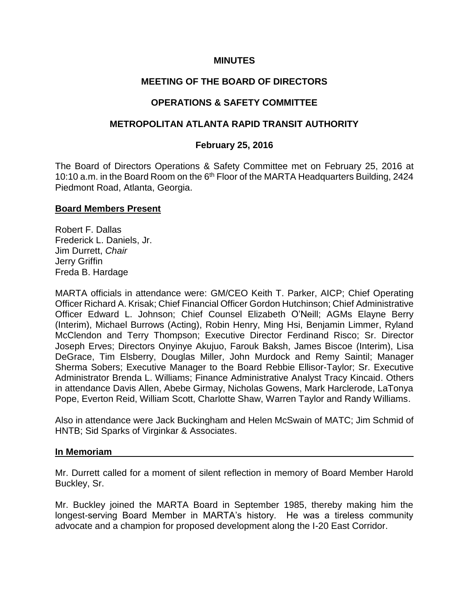## **MINUTES**

# **MEETING OF THE BOARD OF DIRECTORS**

# **OPERATIONS & SAFETY COMMITTEE**

## **METROPOLITAN ATLANTA RAPID TRANSIT AUTHORITY**

## **February 25, 2016**

The Board of Directors Operations & Safety Committee met on February 25, 2016 at 10:10 a.m. in the Board Room on the 6<sup>th</sup> Floor of the MARTA Headquarters Building, 2424 Piedmont Road, Atlanta, Georgia.

### **Board Members Present**

Robert F. Dallas Frederick L. Daniels, Jr. Jim Durrett, *Chair*  Jerry Griffin Freda B. Hardage

MARTA officials in attendance were: GM/CEO Keith T. Parker, AICP; Chief Operating Officer Richard A. Krisak; Chief Financial Officer Gordon Hutchinson; Chief Administrative Officer Edward L. Johnson; Chief Counsel Elizabeth O'Neill; AGMs Elayne Berry (Interim), Michael Burrows (Acting), Robin Henry, Ming Hsi, Benjamin Limmer, Ryland McClendon and Terry Thompson; Executive Director Ferdinand Risco; Sr. Director Joseph Erves; Directors Onyinye Akujuo, Farouk Baksh, James Biscoe (Interim), Lisa DeGrace, Tim Elsberry, Douglas Miller, John Murdock and Remy Saintil; Manager Sherma Sobers; Executive Manager to the Board Rebbie Ellisor-Taylor; Sr. Executive Administrator Brenda L. Williams; Finance Administrative Analyst Tracy Kincaid. Others in attendance Davis Allen, Abebe Girmay, Nicholas Gowens, Mark Harclerode, LaTonya Pope, Everton Reid, William Scott, Charlotte Shaw, Warren Taylor and Randy Williams.

Also in attendance were Jack Buckingham and Helen McSwain of MATC; Jim Schmid of HNTB; Sid Sparks of Virginkar & Associates.

### **In Memoriam**

Mr. Durrett called for a moment of silent reflection in memory of Board Member Harold Buckley, Sr.

Mr. Buckley joined the MARTA Board in September 1985, thereby making him the longest-serving Board Member in MARTA's history. He was a tireless community advocate and a champion for proposed development along the I-20 East Corridor.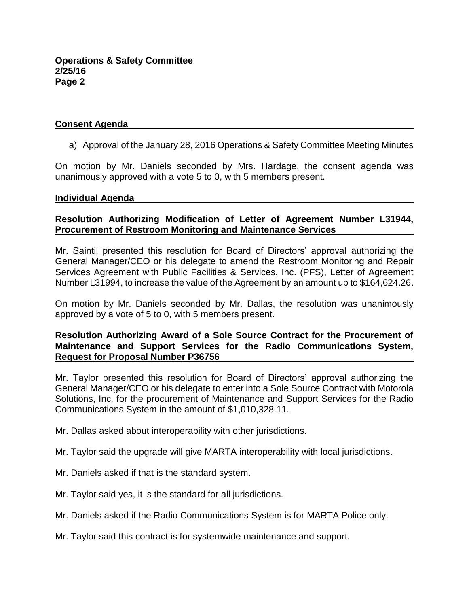## **Consent Agenda**

a) Approval of the January 28, 2016 Operations & Safety Committee Meeting Minutes

On motion by Mr. Daniels seconded by Mrs. Hardage, the consent agenda was unanimously approved with a vote 5 to 0, with 5 members present.

#### **Individual Agenda**

## **Resolution Authorizing Modification of Letter of Agreement Number L31944, Procurement of Restroom Monitoring and Maintenance Services**

Mr. Saintil presented this resolution for Board of Directors' approval authorizing the General Manager/CEO or his delegate to amend the Restroom Monitoring and Repair Services Agreement with Public Facilities & Services, Inc. (PFS), Letter of Agreement Number L31994, to increase the value of the Agreement by an amount up to \$164,624.26.

On motion by Mr. Daniels seconded by Mr. Dallas, the resolution was unanimously approved by a vote of 5 to 0, with 5 members present.

## **Resolution Authorizing Award of a Sole Source Contract for the Procurement of Maintenance and Support Services for the Radio Communications System, Request for Proposal Number P36756**

Mr. Taylor presented this resolution for Board of Directors' approval authorizing the General Manager/CEO or his delegate to enter into a Sole Source Contract with Motorola Solutions, Inc. for the procurement of Maintenance and Support Services for the Radio Communications System in the amount of \$1,010,328.11.

Mr. Dallas asked about interoperability with other jurisdictions.

Mr. Taylor said the upgrade will give MARTA interoperability with local jurisdictions.

- Mr. Daniels asked if that is the standard system.
- Mr. Taylor said yes, it is the standard for all jurisdictions.
- Mr. Daniels asked if the Radio Communications System is for MARTA Police only.
- Mr. Taylor said this contract is for systemwide maintenance and support.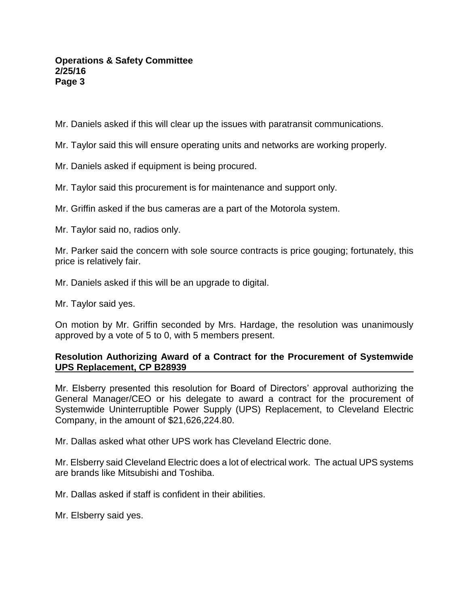## **Operations & Safety Committee 2/25/16 Page 3**

Mr. Daniels asked if this will clear up the issues with paratransit communications.

Mr. Taylor said this will ensure operating units and networks are working properly.

Mr. Daniels asked if equipment is being procured.

Mr. Taylor said this procurement is for maintenance and support only.

Mr. Griffin asked if the bus cameras are a part of the Motorola system.

Mr. Taylor said no, radios only.

Mr. Parker said the concern with sole source contracts is price gouging; fortunately, this price is relatively fair.

Mr. Daniels asked if this will be an upgrade to digital.

Mr. Taylor said yes.

On motion by Mr. Griffin seconded by Mrs. Hardage, the resolution was unanimously approved by a vote of 5 to 0, with 5 members present.

# **Resolution Authorizing Award of a Contract for the Procurement of Systemwide UPS Replacement, CP B28939**

Mr. Elsberry presented this resolution for Board of Directors' approval authorizing the General Manager/CEO or his delegate to award a contract for the procurement of Systemwide Uninterruptible Power Supply (UPS) Replacement, to Cleveland Electric Company, in the amount of \$21,626,224.80.

Mr. Dallas asked what other UPS work has Cleveland Electric done.

Mr. Elsberry said Cleveland Electric does a lot of electrical work. The actual UPS systems are brands like Mitsubishi and Toshiba.

Mr. Dallas asked if staff is confident in their abilities.

Mr. Elsberry said yes.